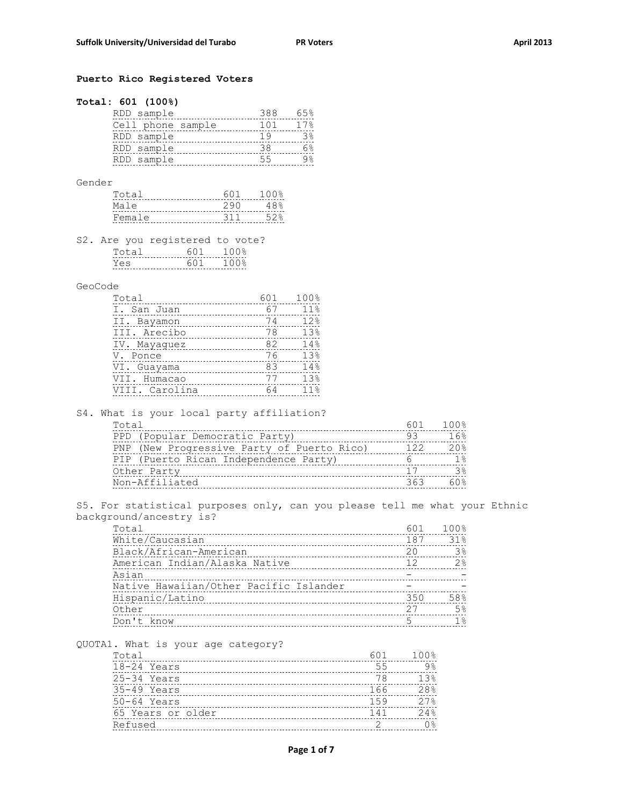## **Puerto Rico Registered Voters**

## **Total: 601 (100%)**

| RDD sample        | 388 | 65% |
|-------------------|-----|-----|
| Cell phone sample | 101 | 17% |
| RDD sample        | 1 Q |     |
| RDD sample        | 38  |     |
| RDD sample        | 55  |     |
|                   |     |     |

Gender

| Total  | 601  | 1 O C |
|--------|------|-------|
| Male   | 290  | 48%   |
| Female | -311 | らつる   |

S2. Are you registered to vote?

## GeoCode

| Total          | 601 | 100%            |
|----------------|-----|-----------------|
| I. San Juan    | 67  | 11%             |
| II. Bayamon    | 74  | 12%             |
| III. Arecibo   | 78  | 13%             |
| IV. Mayaquez   | 82  | 14%             |
| V. Ponce       | 76  | 13%             |
| VI. Guayama    | 83  | 14%             |
| VII. Humacao   | 77  | 13%             |
| VIII. Carolina | 64  | 11 <sup>°</sup> |
|                |     |                 |

S4. What is your local party affiliation?

| 601 | 100%          |
|-----|---------------|
| 93  | 16%           |
| 122 | 20.8          |
|     | $1$ $\approx$ |
| 17  | 3             |
| ろとろ |               |
|     |               |

S5. For statistical purposes only, can you please tell me what your Ethnic background/ancestry is?

| 601 | 100%           |
|-----|----------------|
| 187 | 31%            |
| 20  | 3 <sup>°</sup> |
| 12  | 2%             |
|     |                |
|     |                |
| 350 | 58%            |
| 27  | 5%             |
| .5  | 1%             |
|     |                |

QUOTA1. What is your age category?

| Total             | 601 | $100$ % |
|-------------------|-----|---------|
| 18-24 Years       | 55  | $9\%$   |
| 25-34 Years       | 78  | 13%     |
| $35-49$ Years     | 166 | 28%     |
| $50-64$ Years     | 159 | 27%     |
| 65 Years or older | 141 | 24%     |
| Refused           |     | 0 %     |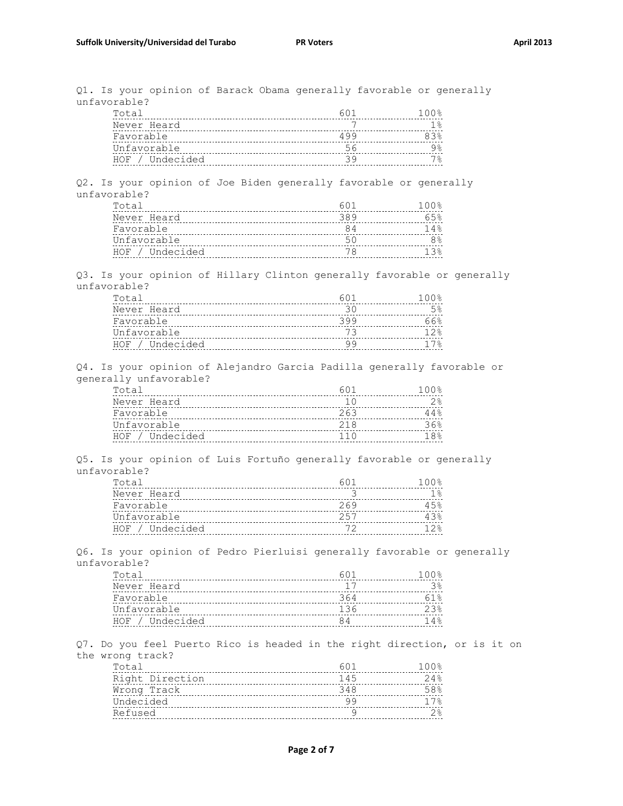Q1. Is your opinion of Barack Obama generally favorable or generally unfavorable?

| Total           |     | 100% |
|-----------------|-----|------|
| Never Heard     |     |      |
| Favorable       | 499 |      |
| Unfavorable     |     |      |
| HOF / Undecided |     |      |

Q2. Is your opinion of Joe Biden generally favorable or generally unfavorable?

| Total           |     | 100% |
|-----------------|-----|------|
| Never Heard     | 389 | 652  |
| Favorable       |     |      |
| Unfavorable     | 51. |      |
| HOF / Undecided |     |      |

Q3. Is your opinion of Hillary Clinton generally favorable or generally unfavorable?

| Total           |     | 100응 |
|-----------------|-----|------|
| Never Heard     |     |      |
| Favorable       | 399 | 66%  |
| Unfavorable     |     | 12.8 |
| HOF / Undecided |     |      |

Q4. Is your opinion of Alejandro Garcia Padilla generally favorable or generally unfavorable?

| Total           |      | 100% |
|-----------------|------|------|
| Never Heard     |      |      |
| Favorable       | 263  | 44%  |
| Unfavorable     | 21 R | 36%  |
| HOF / Undecided | 11 N | 18%  |

Q5. Is your opinion of Luis Fortuño generally favorable or generally unfavorable?

| Total           |     | 100% |
|-----------------|-----|------|
| Never Heard     |     |      |
| Favorable       | 269 | 45%  |
| Unfavorable     | 257 | 43%  |
| HOF / Undecided |     |      |

Q6. Is your opinion of Pedro Pierluisi generally favorable or generally unfavorable?

| Total           |     | 1 ∩ ∩ ዱ |
|-----------------|-----|---------|
| Never Heard     |     |         |
| Favorable       | 364 |         |
| Unfavorable     | 136 | 23      |
| HOF / Undecided |     | 14%     |

Q7. Do you feel Puerto Rico is headed in the right direction, or is it on the wrong track?

| Total           | 601 | 100% |
|-----------------|-----|------|
| Right Direction | 145 | 24%  |
| Wrong Track     | 348 | 58%  |
| Undecided       |     | 17%  |
| Refused         |     |      |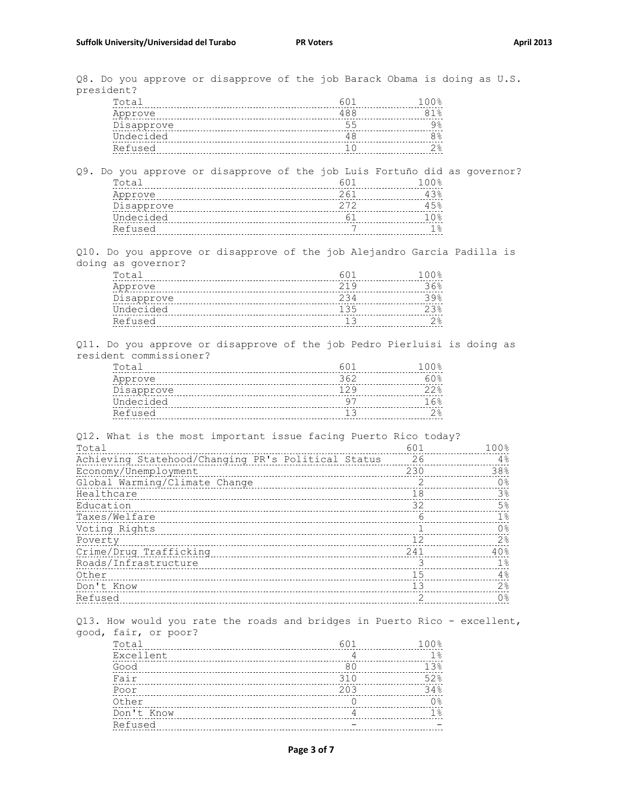Q8. Do you approve or disapprove of the job Barack Obama is doing as U.S. president?

| Total      |     | 100%  |
|------------|-----|-------|
| Approve    | 488 | $1\%$ |
| Disapprove | 55  | 38    |
| Undecided  |     | 8%    |
| Refused    |     | ၇နွ   |

Q9. Do you approve or disapprove of the job Luis Fortuño did as governor? Total 601 100% Approve 43% 261 43% Disapprove 15% 272 272 45% Undecided 61 10% Refused 1% 18

Q10. Do you approve or disapprove of the job Alejandro Garcia Padilla is doing as governor?

| Total      |     | 100% |
|------------|-----|------|
| Approve    | 219 | 36%  |
| Disapprove | 234 | २९%  |
| Undecided  | 135 | 23   |
| Refused    |     |      |
|            |     |      |

Q11. Do you approve or disapprove of the job Pedro Pierluisi is doing as resident commissioner?

| Total      | 60 <sub>1</sub> | 100% |
|------------|-----------------|------|
| Approve    | 362             | 60%  |
| Disapprove | 129             | 22%  |
| Undecided  |                 | 1 6% |
| Refused    |                 |      |

Q12. What is the most important issue facing Puerto Rico today? Total 601 100% Achieving Statehood/Changing PR's Political Status 26 20 4% Economy/Unemployment 230 38% Global Warming/Climate Change 2 and 2 0% Healthcare 3% and 18 3% and 18 3% and 18 3% and 18 3% and 18 3% and 18 3% and 18 3% Education 5% Taxes/Welfare 18 18 <u>Voting Rights 1 0% (1,000 minum 1,000 minum 1,000 minum 1,000 minum 1,000 minum 1,000 minum 1,000 minum 1,000 m</u> Poverty 12 2% Crime/Drug Trafficking 241 40% Roads/Infrastructure 3 1% 0ther 15 4% and 15 4% and 15 4% and 15 4% and 15 4% and 15 4% and 15 4% and 15 4% and 15  $4\%$ Don't Know 13 2% Refused 2 0%

Q13. How would you rate the roads and bridges in Puerto Rico - excellent, good, fair, or poor?

| Total      | 601 | 100%  |
|------------|-----|-------|
| Excellent  |     | $1\,$ |
| Good       | 80  | 13%   |
| Fair       | 310 | 52%   |
| Poor       | 203 | 34%   |
| Other      |     | 0 %   |
| Don't Know |     | $1\%$ |
| Refused    |     |       |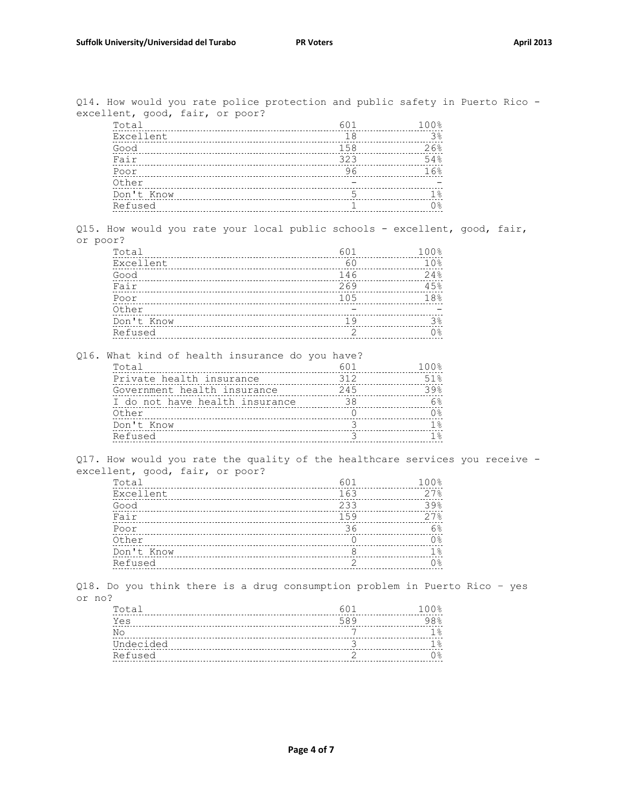Q14. How would you rate police protection and public safety in Puerto Rico excellent, good, fair, or poor?

| Total      | 601 | 100%           |
|------------|-----|----------------|
| Excellent  | 18  | 3 <sup>°</sup> |
| Good       | 158 | 26%            |
| Fair       | 323 | 54%            |
| Poor       | 96  | 16%            |
| Other      |     |                |
| Don't Know |     | 1 응            |
| Refused    |     | 0%             |

Q15. How would you rate your local public schools - excellent, good, fair, or poor?

| 601 | 100% |
|-----|------|
| 60  | 10%  |
| 146 | 24%  |
| 269 | 45%  |
| 105 | 18%  |
|     |      |
| 19  | 38   |
|     | ∩ %  |
|     |      |

Q16. What kind of health insurance do you have?

| Total                          | 601 | 100% |
|--------------------------------|-----|------|
| Private health insurance       | 312 | 51%  |
| Government health insurance    | 245 | 39%  |
| I do not have health insurance | 38  | 6%   |
| Other                          |     | 0%   |
| Don't Know                     |     | 1 ຂ  |
| Refused                        |     |      |

Q17. How would you rate the quality of the healthcare services you receive excellent, good, fair, or poor?

| Total      | 601 | 100%           |
|------------|-----|----------------|
| Excellent  | 163 | 27%            |
| Good       | 233 | 39%            |
| Fair       | 159 | 27%            |
| Poor       | 36  | 6%             |
| Other      |     | 0 <sup>°</sup> |
| Don't Know |     | $1\%$          |
| Refused    |     | 0응             |
|            |     |                |

Q18. Do you think there is a drug consumption problem in Puerto Rico – yes or no?

| Total     |     | 100%      |
|-----------|-----|-----------|
| Yes       | 589 | $98$ $%$  |
| No        |     | $\approx$ |
| Undecided |     | °         |
| Refused   |     | ) 응       |
|           |     |           |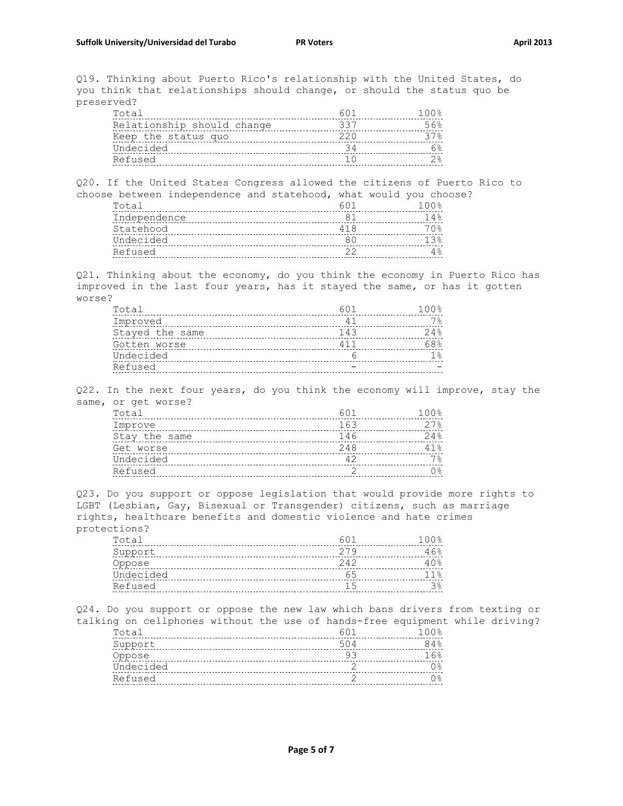Q19. Thinking about Puerto Rico's relationship with the United States, do you think that relationships should change, or should the status quo be preserved?

| Total                      | 60. | 100% |
|----------------------------|-----|------|
| Relationship should change | 337 | 56%  |
| Keep the status quo        | 220 | 37%  |
| Undecided                  |     | ନେ   |
| Refused                    |     | 2%   |
|                            |     |      |

Q20. If the United States Congress allowed the citizens of Puerto Rico to choose between independence and statehood, what would you choose?

| Total        | 1 ∩ ∩ ዱ |
|--------------|---------|
| Independence | 14응     |
| Statehood    | 7 ∩ ⊱   |
| Undecided    |         |
| Refused      |         |

Q21. Thinking about the economy, do you think the economy in Puerto Rico has improved in the last four years, has it stayed the same, or has it gotten worse?

| Total           | 601 | 100%  |
|-----------------|-----|-------|
| Improved        | 41  | 7%    |
| Stayed the same | 143 | 24%   |
| Gotten worse    | 411 | 68%   |
| Undecided       |     | $1\%$ |
| Refused         |     |       |

Q22. In the next four years, do you think the economy will improve, stay the same, or get worse?

| 601 | $100$ % |
|-----|---------|
| 163 | 27%     |
| 146 | 24%     |
| 248 | 41%     |
| 42  | 7%      |
|     | 0응      |
|     |         |

Q23. Do you support or oppose legislation that would provide more rights to LGBT (Lesbian, Gay, Bisexual or Transgender) citizens, such as marriage rights, healthcare benefits and domestic violence and hate crimes protections?

| Total     | 60i   | 100% |
|-----------|-------|------|
| Support   | 279   | 46%  |
| Oppose    | $242$ | 40%  |
| Undecided | 65    | 11%  |
| Refused   |       | 38   |
|           |       |      |

Q24. Do you support or oppose the new law which bans drivers from texting or talking on cellphones without the use of hands-free equipment while driving? Total 100% and 100% and 100% for the contract of the contract of the contract of the contract of the contract of the contract of the contract of the contract of the contract of the contract of the contract of the contract Support 504 84% Oppose 93 16% Undecided 2 0% Refused 2 0%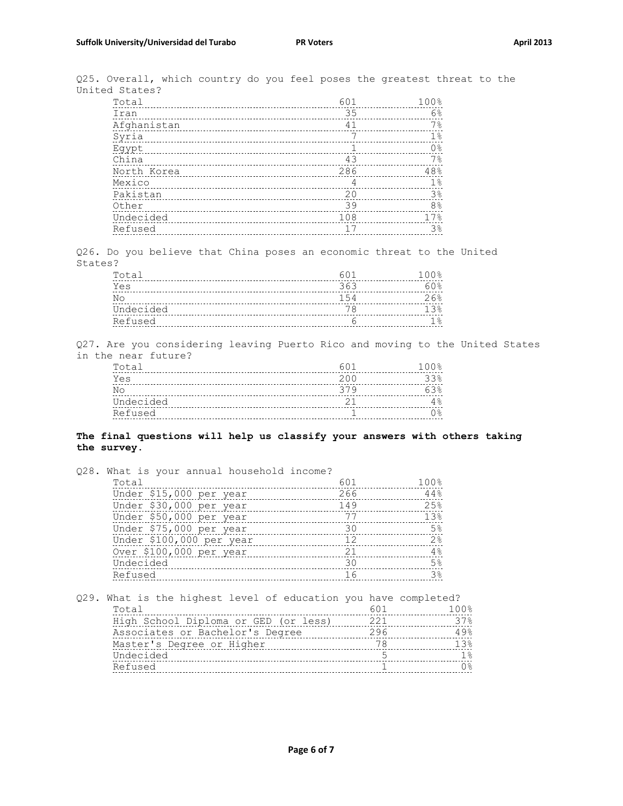Q25. Overall, which country do you feel poses the greatest threat to the United States?

| Total       | 601 | 100%           |
|-------------|-----|----------------|
| Iran        | 35  | 6%             |
| Afghanistan | 41  | 7%             |
| Syria       |     | $1\%$          |
| Eqypt       |     | 0 <sup>°</sup> |
| China       | 43  | 7%             |
| North Korea | 286 | 48%            |
| Mexico      | 4   | 1 <sup>°</sup> |
| Pakistan    | 20  | 3%             |
| Other       | 39  | 8 <sup>°</sup> |
| Undecided   | 108 | 17%            |
| Refused     |     | 3%             |

Q26. Do you believe that China poses an economic threat to the United States?

| Total     |     | 100%  |
|-----------|-----|-------|
| Yes       | 363 | 60%   |
| No        | 154 | 26%   |
| Undecided |     | 1 २ २ |
| Refused   |     |       |
|           |     |       |

Q27. Are you considering leaving Puerto Rico and moving to the United States in the near future?

| Total     |     | 100% |
|-----------|-----|------|
| Yes       | 200 | 33%  |
| No        | 379 | 63   |
| Undecided |     |      |
| Refused   |     |      |

## **The final questions will help us classify your answers with others taking the survey.**

| Q28. What is your annual household income?                      |     |                     |
|-----------------------------------------------------------------|-----|---------------------|
| Total                                                           | 601 | 100%                |
| Under \$15,000 per year                                         | 266 | 44%                 |
| Under \$30,000 per year                                         | 149 | 25%                 |
| Under \$50,000 per year                                         | 77  | 13%                 |
| Under \$75,000 per year                                         | 30  | 5 <sup>°</sup>      |
| Under \$100,000 per year                                        | 12  | 2 <sup>°</sup>      |
| Over \$100,000 per year                                         | 21  | 4%                  |
| Undecided                                                       | 30  | 5 <sup>°</sup>      |
| Refused                                                         | 16  | 3 <sup>°</sup>      |
|                                                                 |     |                     |
| Q29. What is the highest level of education you have completed? |     |                     |
| Total                                                           | 601 | $100$ $\frac{1}{2}$ |

| High School Diploma or GED (or less) | 221 |       |
|--------------------------------------|-----|-------|
| Associates or Bachelor's Degree      | 296 |       |
| Master's Degree or Higher            |     | 1 3 % |
| Undecided                            |     |       |
| Refused                              |     |       |